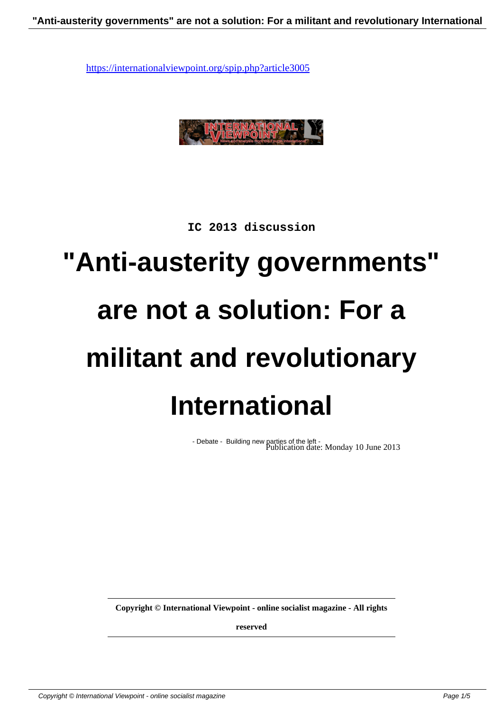

**IC 2013 discussion**

## **"Anti-austerity governments" are not a solution: For a militant and revolutionary International**

- Debate - Building new parties of the left - Publication date: Monday 10 June 2013

**Copyright © International Viewpoint - online socialist magazine - All rights**

**reserved**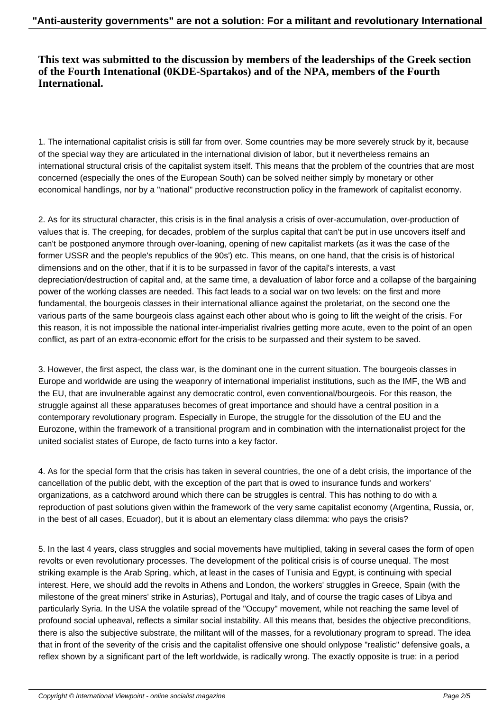## **This text was submitted to the discussion by members of the leaderships of the Greek section of the Fourth Intenational (0KDE-Spartakos) and of the NPA, members of the Fourth International.**

1. The international capitalist crisis is still far from over. Some countries may be more severely struck by it, because of the special way they are articulated in the international division of labor, but it nevertheless remains an international structural crisis of the capitalist system itself. This means that the problem of the countries that are most concerned (especially the ones of the European South) can be solved neither simply by monetary or other economical handlings, nor by a "national" productive reconstruction policy in the framework of capitalist economy.

2. As for its structural character, this crisis is in the final analysis a crisis of over-accumulation, over-production of values that is. The creeping, for decades, problem of the surplus capital that can't be put in use uncovers itself and can't be postponed anymore through over-loaning, opening of new capitalist markets (as it was the case of the former USSR and the people's republics of the 90s') etc. This means, on one hand, that the crisis is of historical dimensions and on the other, that if it is to be surpassed in favor of the capital's interests, a vast depreciation/destruction of capital and, at the same time, a devaluation of labor force and a collapse of the bargaining power of the working classes are needed. This fact leads to a social war on two levels: on the first and more fundamental, the bourgeois classes in their international alliance against the proletariat, on the second one the various parts of the same bourgeois class against each other about who is going to lift the weight of the crisis. For this reason, it is not impossible the national inter-imperialist rivalries getting more acute, even to the point of an open conflict, as part of an extra-economic effort for the crisis to be surpassed and their system to be saved.

3. However, the first aspect, the class war, is the dominant one in the current situation. The bourgeois classes in Europe and worldwide are using the weaponry of international imperialist institutions, such as the IMF, the WB and the EU, that are invulnerable against any democratic control, even conventional/bourgeois. For this reason, the struggle against all these apparatuses becomes of great importance and should have a central position in a contemporary revolutionary program. Especially in Europe, the struggle for the dissolution of the EU and the Eurozone, within the framework of a transitional program and in combination with the internationalist project for the united socialist states of Europe, de facto turns into a key factor.

4. As for the special form that the crisis has taken in several countries, the one of a debt crisis, the importance of the cancellation of the public debt, with the exception of the part that is owed to insurance funds and workers' organizations, as a catchword around which there can be struggles is central. This has nothing to do with a reproduction of past solutions given within the framework of the very same capitalist economy (Argentina, Russia, or, in the best of all cases, Ecuador), but it is about an elementary class dilemma: who pays the crisis?

5. In the last 4 years, class struggles and social movements have multiplied, taking in several cases the form of open revolts or even revolutionary processes. The development of the political crisis is of course unequal. The most striking example is the Arab Spring, which, at least in the cases of Tunisia and Egypt, is continuing with special interest. Here, we should add the revolts in Athens and London, the workers' struggles in Greece, Spain (with the milestone of the great miners' strike in Asturias), Portugal and Italy, and of course the tragic cases of Libya and particularly Syria. In the USA the volatile spread of the "Occupy" movement, while not reaching the same level of profound social upheaval, reflects a similar social instability. All this means that, besides the objective preconditions, there is also the subjective substrate, the militant will of the masses, for a revolutionary program to spread. The idea that in front of the severity of the crisis and the capitalist offensive one should onlypose "realistic" defensive goals, a reflex shown by a significant part of the left worldwide, is radically wrong. The exactly opposite is true: in a period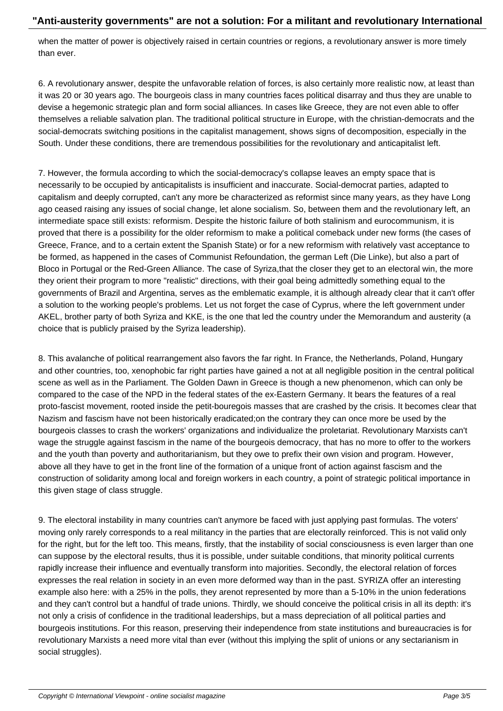when the matter of power is objectively raised in certain countries or regions, a revolutionary answer is more timely than ever.

6. A revolutionary answer, despite the unfavorable relation of forces, is also certainly more realistic now, at least than it was 20 or 30 years ago. The bourgeois class in many countries faces political disarray and thus they are unable to devise a hegemonic strategic plan and form social alliances. In cases like Greece, they are not even able to offer themselves a reliable salvation plan. The traditional political structure in Europe, with the christian-democrats and the social-democrats switching positions in the capitalist management, shows signs of decomposition, especially in the South. Under these conditions, there are tremendous possibilities for the revolutionary and anticapitalist left.

7. However, the formula according to which the social-democracy's collapse leaves an empty space that is necessarily to be occupied by anticapitalists is insufficient and inaccurate. Social-democrat parties, adapted to capitalism and deeply corrupted, can't any more be characterized as reformist since many years, as they have Long ago ceased raising any issues of social change, let alone socialism. So, between them and the revolutionary left, an intermediate space still exists: reformism. Despite the historic failure of both stalinism and eurocommunism, it is proved that there is a possibility for the older reformism to make a political comeback under new forms (the cases of Greece, France, and to a certain extent the Spanish State) or for a new reformism with relatively vast acceptance to be formed, as happened in the cases of Communist Refoundation, the german Left (Die Linke), but also a part of Bloco in Portugal or the Red-Green Alliance. The case of Syriza,that the closer they get to an electoral win, the more they orient their program to more "realistic" directions, with their goal being admittedly something equal to the governments of Brazil and Argentina, serves as the emblematic example, it is although already clear that it can't offer a solution to the working people's problems. Let us not forget the case of Cyprus, where the left government under AKEL, brother party of both Syriza and KKE, is the one that led the country under the Memorandum and austerity (a choice that is publicly praised by the Syriza leadership).

8. This avalanche of political rearrangement also favors the far right. In France, the Netherlands, Poland, Hungary and other countries, too, xenophobic far right parties have gained a not at all negligible position in the central political scene as well as in the Parliament. The Golden Dawn in Greece is though a new phenomenon, which can only be compared to the case of the NPD in the federal states of the ex-Eastern Germany. It bears the features of a real proto-fascist movement, rooted inside the petit-bouregois masses that are crashed by the crisis. It becomes clear that Nazism and fascism have not been historically eradicated;on the contrary they can once more be used by the bourgeois classes to crash the workers' organizations and individualize the proletariat. Revolutionary Marxists can't wage the struggle against fascism in the name of the bourgeois democracy, that has no more to offer to the workers and the youth than poverty and authoritarianism, but they owe to prefix their own vision and program. However, above all they have to get in the front line of the formation of a unique front of action against fascism and the construction of solidarity among local and foreign workers in each country, a point of strategic political importance in this given stage of class struggle.

9. The electoral instability in many countries can't anymore be faced with just applying past formulas. The voters' moving only rarely corresponds to a real militancy in the parties that are electorally reinforced. This is not valid only for the right, but for the left too. This means, firstly, that the instability of social consciousness is even larger than one can suppose by the electoral results, thus it is possible, under suitable conditions, that minority political currents rapidly increase their influence and eventually transform into majorities. Secondly, the electoral relation of forces expresses the real relation in society in an even more deformed way than in the past. SYRIZA offer an interesting example also here: with a 25% in the polls, they arenot represented by more than a 5-10% in the union federations and they can't control but a handful of trade unions. Thirdly, we should conceive the political crisis in all its depth: it's not only a crisis of confidence in the traditional leaderships, but a mass depreciation of all political parties and bourgeois institutions. For this reason, preserving their independence from state institutions and bureaucracies is for revolutionary Marxists a need more vital than ever (without this implying the split of unions or any sectarianism in social struggles).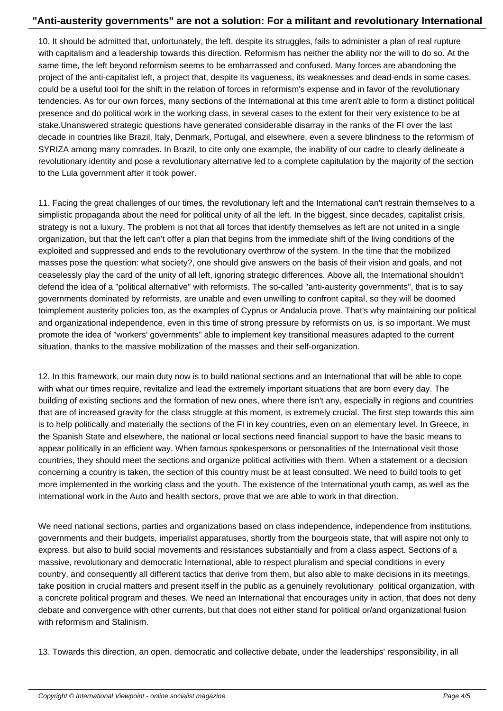10. It should be admitted that, unfortunately, the left, despite its struggles, fails to administer a plan of real rupture with capitalism and a leadership towards this direction. Reformism has neither the ability nor the will to do so. At the same time, the left beyond reformism seems to be embarrassed and confused. Many forces are abandoning the project of the anti-capitalist left, a project that, despite its vagueness, its weaknesses and dead-ends in some cases, could be a useful tool for the shift in the relation of forces in reformism's expense and in favor of the revolutionary tendencies. As for our own forces, many sections of the International at this time aren't able to form a distinct political presence and do political work in the working class, in several cases to the extent for their very existence to be at stake.Unanswered strategic questions have generated considerable disarray in the ranks of the FI over the last decade in countries like Brazil, Italy, Denmark, Portugal, and elsewhere, even a severe blindness to the reformism of SYRIZA among many comrades. In Brazil, to cite only one example, the inability of our cadre to clearly delineate a revolutionary identity and pose a revolutionary alternative led to a complete capitulation by the majority of the section to the Lula government after it took power.

11. Facing the great challenges of our times, the revolutionary left and the International can't restrain themselves to a simplistic propaganda about the need for political unity of all the left. In the biggest, since decades, capitalist crisis, strategy is not a luxury. The problem is not that all forces that identify themselves as left are not united in a single organization, but that the left can't offer a plan that begins from the immediate shift of the living conditions of the exploited and suppressed and ends to the revolutionary overthrow of the system. In the time that the mobilized masses pose the question: what society?, one should give answers on the basis of their vision and goals, and not ceaselessly play the card of the unity of all left, ignoring strategic differences. Above all, the International shouldn't defend the idea of a "political alternative" with reformists. The so-called "anti-austerity governments", that is to say governments dominated by reformists, are unable and even unwilling to confront capital, so they will be doomed toimplement austerity policies too, as the examples of Cyprus or Andalucia prove. That's why maintaining our political and organizational independence, even in this time of strong pressure by reformists on us, is so important. We must promote the idea of "workers' governments" able to implement key transitional measures adapted to the current situation, thanks to the massive mobilization of the masses and their self-organization.

12. In this framework, our main duty now is to build national sections and an International that will be able to cope with what our times require, revitalize and lead the extremely important situations that are born every day. The building of existing sections and the formation of new ones, where there isn't any, especially in regions and countries that are of increased gravity for the class struggle at this moment, is extremely crucial. The first step towards this aim is to help politically and materially the sections of the FI in key countries, even on an elementary level. In Greece, in the Spanish State and elsewhere, the national or local sections need financial support to have the basic means to appear politically in an efficient way. When famous spokespersons or personalities of the International visit those countries, they should meet the sections and organize political activities with them. When a statement or a decision concerning a country is taken, the section of this country must be at least consulted. We need to build tools to get more implemented in the working class and the youth. The existence of the International youth camp, as well as the international work in the Auto and health sectors, prove that we are able to work in that direction.

We need national sections, parties and organizations based on class independence, independence from institutions, governments and their budgets, imperialist apparatuses, shortly from the bourgeois state, that will aspire not only to express, but also to build social movements and resistances substantially and from a class aspect. Sections of a massive, revolutionary and democratic International, able to respect pluralism and special conditions in every country, and consequently all different tactics that derive from them, but also able to make decisions in its meetings, take position in crucial matters and present itself in the public as a genuinely revolutionary political organization, with a concrete political program and theses. We need an International that encourages unity in action, that does not deny debate and convergence with other currents, but that does not either stand for political or/and organizational fusion with reformism and Stalinism.

13. Towards this direction, an open, democratic and collective debate, under the leaderships' responsibility, in all